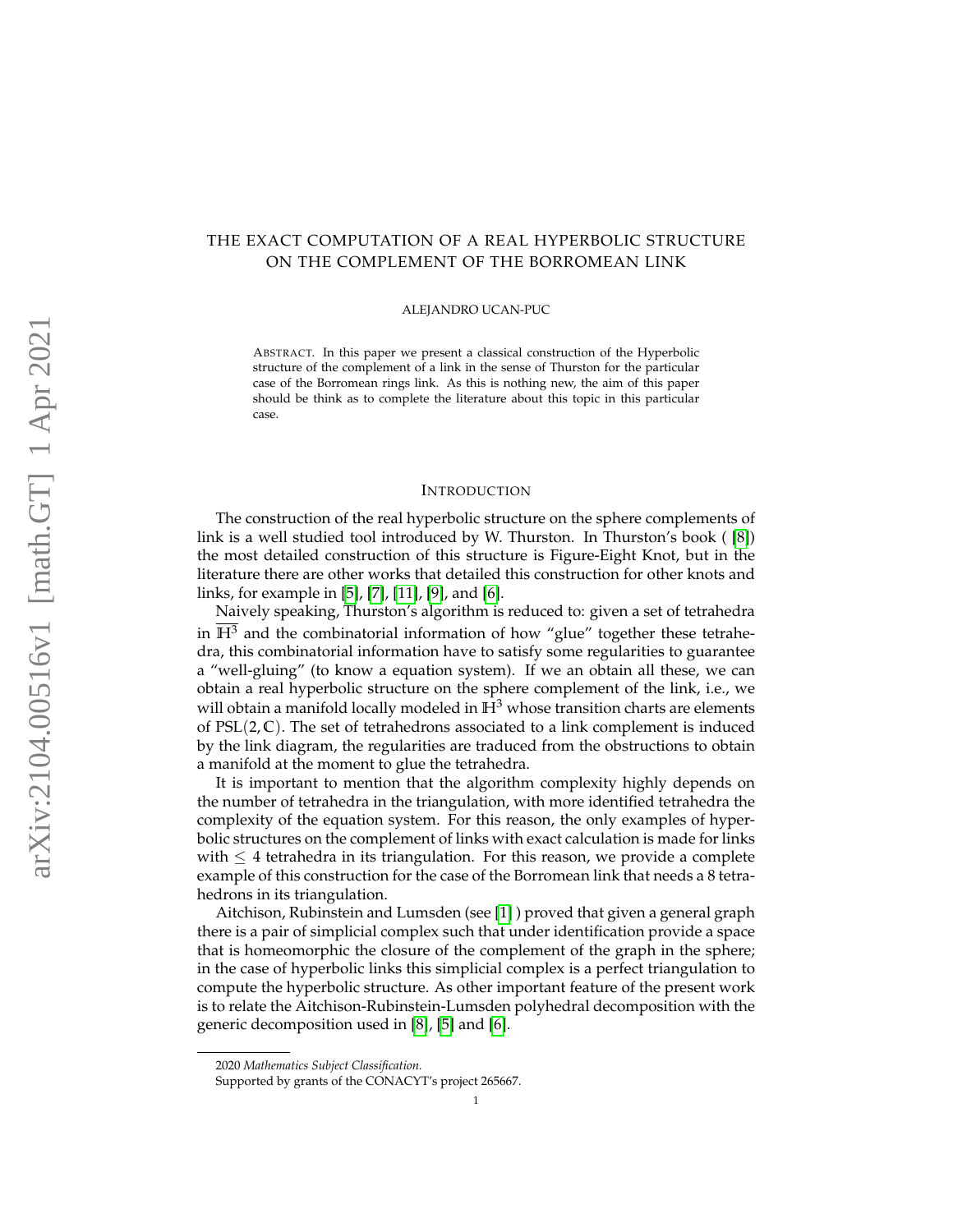# THE EXACT COMPUTATION OF A REAL HYPERBOLIC STRUCTURE ON THE COMPLEMENT OF THE BORROMEAN LINK

#### ALEJANDRO UCAN-PUC

ABSTRACT. In this paper we present a classical construction of the Hyperbolic structure of the complement of a link in the sense of Thurston for the particular case of the Borromean rings link. As this is nothing new, the aim of this paper should be think as to complete the literature about this topic in this particular case.

#### **INTRODUCTION**

The construction of the real hyperbolic structure on the sphere complements of link is a well studied tool introduced by W. Thurston. In Thurston's book ( [\[8\]](#page-13-0)) the most detailed construction of this structure is Figure-Eight Knot, but in the literature there are other works that detailed this construction for other knots and links, for example in [\[5\]](#page-12-0), [\[7\]](#page-13-1), [\[11\]](#page-13-2), [\[9\]](#page-13-3), and [\[6\]](#page-13-4).

Naively speaking, Thurston's algorithm is reduced to: given a set of tetrahedra in  $H<sup>3</sup>$  and the combinatorial information of how "glue" together these tetrahedra, this combinatorial information have to satisfy some regularities to guarantee a "well-gluing" (to know a equation system). If we an obtain all these, we can obtain a real hyperbolic structure on the sphere complement of the link, i.e., we will obtain a manifold locally modeled in  $\mathbb{H}^3$  whose transition charts are elements of  $PSL(2, \mathbb{C})$ . The set of tetrahedrons associated to a link complement is induced by the link diagram, the regularities are traduced from the obstructions to obtain a manifold at the moment to glue the tetrahedra.

It is important to mention that the algorithm complexity highly depends on the number of tetrahedra in the triangulation, with more identified tetrahedra the complexity of the equation system. For this reason, the only examples of hyperbolic structures on the complement of links with exact calculation is made for links with  $\leq 4$  tetrahedra in its triangulation. For this reason, we provide a complete example of this construction for the case of the Borromean link that needs a 8 tetrahedrons in its triangulation.

Aitchison, Rubinstein and Lumsden (see [\[1\]](#page-12-1) ) proved that given a general graph there is a pair of simplicial complex such that under identification provide a space that is homeomorphic the closure of the complement of the graph in the sphere; in the case of hyperbolic links this simplicial complex is a perfect triangulation to compute the hyperbolic structure. As other important feature of the present work is to relate the Aitchison-Rubinstein-Lumsden polyhedral decomposition with the generic decomposition used in [\[8\]](#page-13-0), [\[5\]](#page-12-0) and [\[6\]](#page-13-4).

<sup>2020</sup> *Mathematics Subject Classification.*

Supported by grants of the CONACYT's project 265667.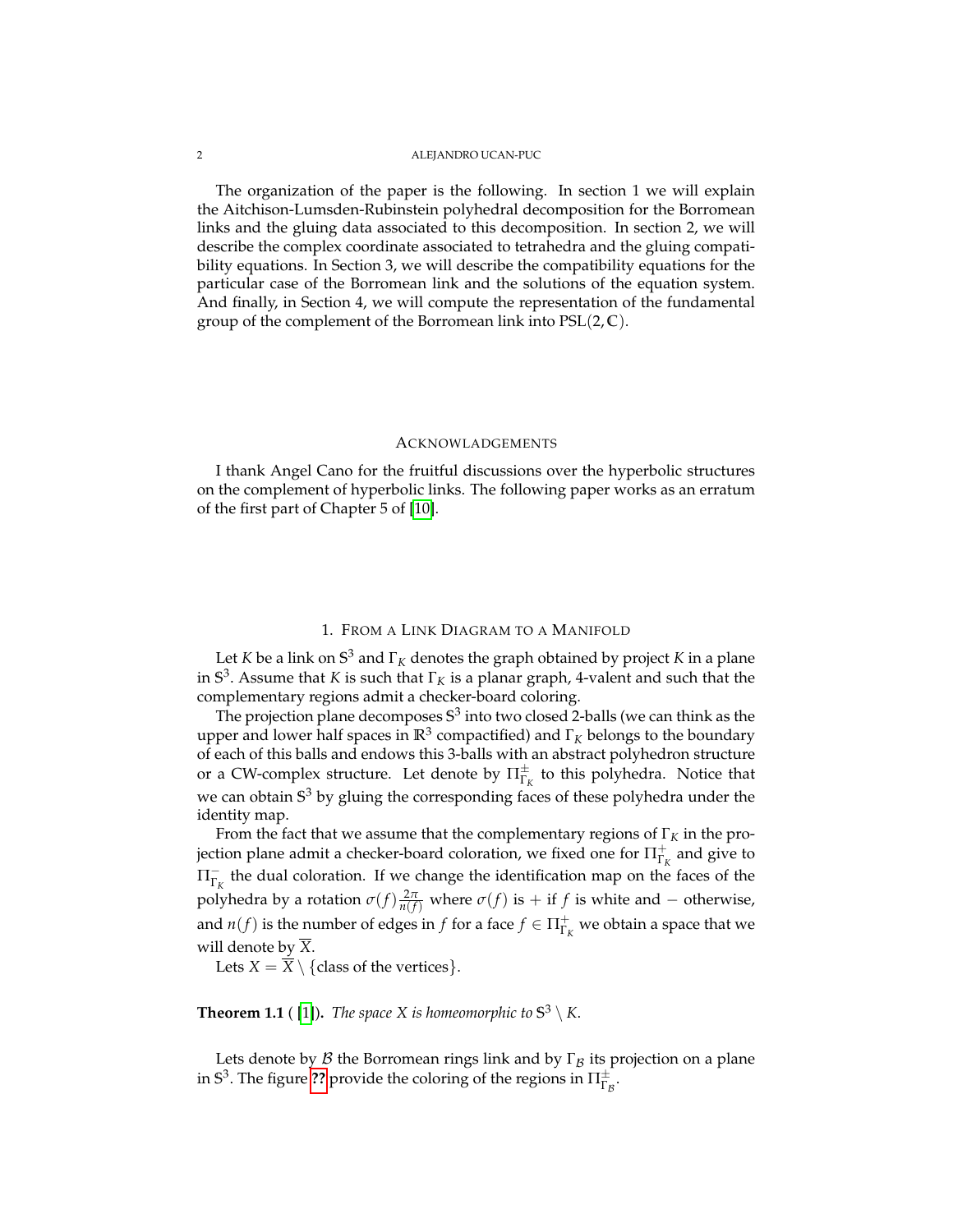#### 2 ALEJANDRO UCAN-PUC

The organization of the paper is the following. In section 1 we will explain the Aitchison-Lumsden-Rubinstein polyhedral decomposition for the Borromean links and the gluing data associated to this decomposition. In section 2, we will describe the complex coordinate associated to tetrahedra and the gluing compatibility equations. In Section 3, we will describe the compatibility equations for the particular case of the Borromean link and the solutions of the equation system. And finally, in Section 4, we will compute the representation of the fundamental group of the complement of the Borromean link into PSL(2, **C**).

### ACKNOWLADGEMENTS

I thank Angel Cano for the fruitful discussions over the hyperbolic structures on the complement of hyperbolic links. The following paper works as an erratum of the first part of Chapter 5 of [\[10\]](#page-13-5).

## 1. FROM A LINK DIAGRAM TO A MANIFOLD

Let *K* be a link on **S** <sup>3</sup> and Γ*<sup>K</sup>* denotes the graph obtained by project *K* in a plane in **S** 3 . Assume that *K* is such that Γ*<sup>K</sup>* is a planar graph, 4-valent and such that the complementary regions admit a checker-board coloring.

The projection plane decomposes **S** 3 into two closed 2-balls (we can think as the upper and lower half spaces in  $\mathbb{R}^3$  compactified) and  $\Gamma_K$  belongs to the boundary of each of this balls and endows this 3-balls with an abstract polyhedron structure or a CW-complex structure. Let denote by  $\Pi_{\Gamma_K}^\pm$  to this polyhedra. Notice that we can obtain **S** <sup>3</sup> by gluing the corresponding faces of these polyhedra under the identity map.

From the fact that we assume that the complementary regions of  $\Gamma_K$  in the projection plane admit a checker-board coloration, we fixed one for  $\Pi^{+}_{\Gamma_{K}}$  and give to  $\Pi_{\Gamma_K}^-$  the dual coloration. If we change the identification map on the faces of the polyhedra by a rotation  $\sigma(f) \frac{2\pi}{n(f)}$  where  $\sigma(f)$  is + if *f* is white and − otherwise, and  $n(f)$  is the number of edges in  $f$  for a face  $f \in \Pi_{\Gamma_K}^+$  we obtain a space that we will denote by *X*.

Lets  $X = \overline{X} \setminus \{ \text{class of the vertices} \}.$ 

# <span id="page-1-0"></span>**Theorem 1.1** ( [\[1\]](#page-12-1)). *The space X is homeomorphic to*  $\mathbb{S}^3 \setminus K$ .

Lets denote by  $\beta$  the Borromean rings link and by  $\Gamma_{\beta}$  its projection on a plane in S<sup>3</sup>. The figure **[??](#page-2-0)** provide the coloring of the regions in  $\Pi_{\Gamma_B}^{\pm}$ .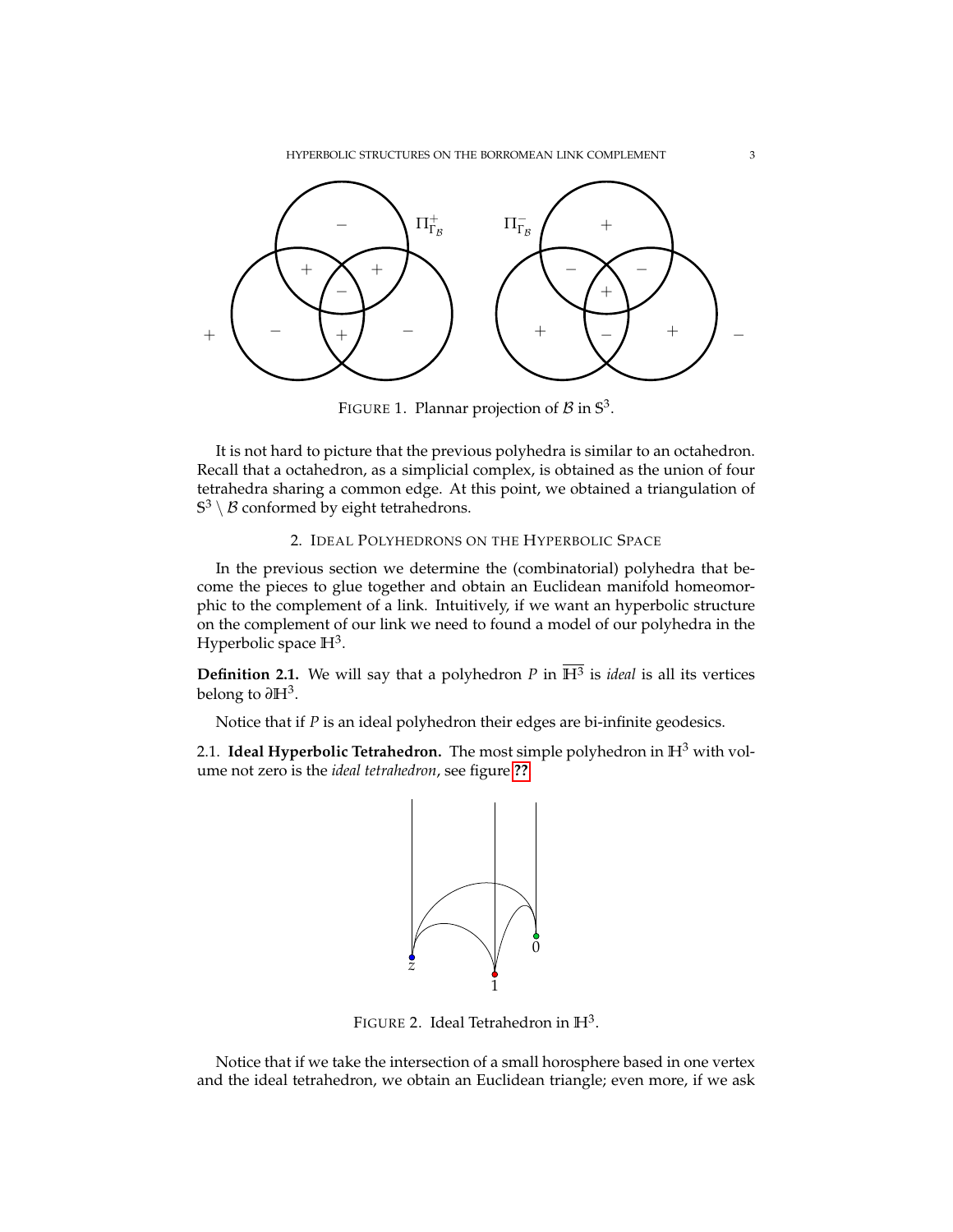HYPERBOLIC STRUCTURES ON THE BORROMEAN LINK COMPLEMENT 3

<span id="page-2-0"></span>

FIGURE 1. Plannar projection of  $\beta$  in  $\mathbb{S}^3$ .

It is not hard to picture that the previous polyhedra is similar to an octahedron. Recall that a octahedron, as a simplicial complex, is obtained as the union of four tetrahedra sharing a common edge. At this point, we obtained a triangulation of  $\mathbb{S}^3 \setminus \mathcal{B}$  conformed by eight tetrahedrons.

# 2. IDEAL POLYHEDRONS ON THE HYPERBOLIC SPACE

In the previous section we determine the (combinatorial) polyhedra that become the pieces to glue together and obtain an Euclidean manifold homeomorphic to the complement of a link. Intuitively, if we want an hyperbolic structure on the complement of our link we need to found a model of our polyhedra in the Hyperbolic space **H**<sup>3</sup> .

**Definition 2.1.** We will say that a polyhedron *P* in **H**<sup>3</sup> is *ideal* is all its vertices belong to *∂***H**<sup>3</sup> .

Notice that if *P* is an ideal polyhedron their edges are bi-infinite geodesics.

<span id="page-2-1"></span>2.1. **Ideal Hyperbolic Tetrahedron.** The most simple polyhedron in **H**<sup>3</sup> with volume not zero is the *ideal tetrahedron*, see figure **[??](#page-2-1)**.



FIGURE 2. Ideal Tetrahedron in **H**<sup>3</sup> .

Notice that if we take the intersection of a small horosphere based in one vertex and the ideal tetrahedron, we obtain an Euclidean triangle; even more, if we ask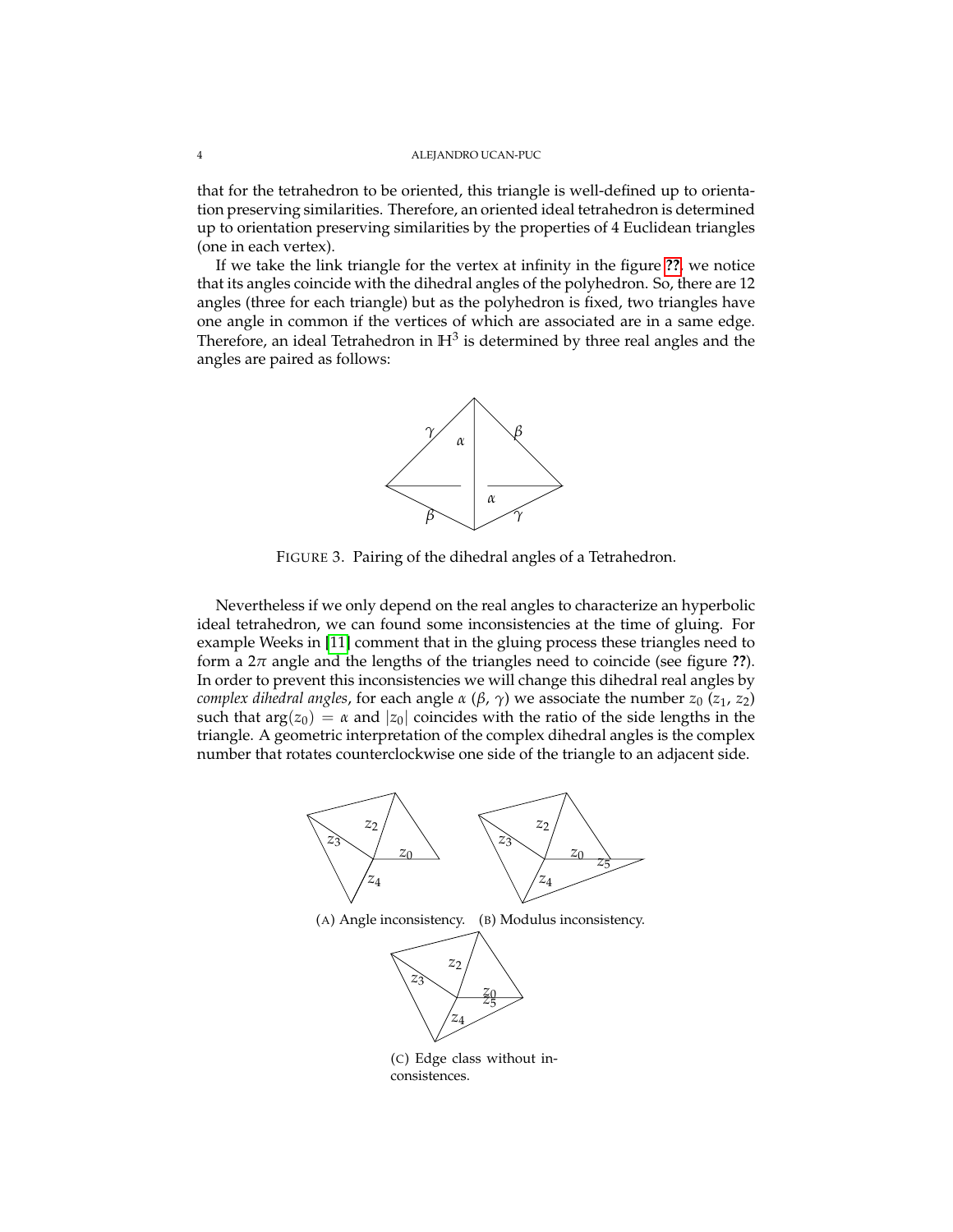that for the tetrahedron to be oriented, this triangle is well-defined up to orientation preserving similarities. Therefore, an oriented ideal tetrahedron is determined up to orientation preserving similarities by the properties of 4 Euclidean triangles (one in each vertex).

If we take the link triangle for the vertex at infinity in the figure **[??](#page-2-1)**, we notice that its angles coincide with the dihedral angles of the polyhedron. So, there are 12 angles (three for each triangle) but as the polyhedron is fixed, two triangles have one angle in common if the vertices of which are associated are in a same edge. Therefore, an ideal Tetrahedron in  $\mathbb{H}^3$  is determined by three real angles and the angles are paired as follows:



FIGURE 3. Pairing of the dihedral angles of a Tetrahedron.

Nevertheless if we only depend on the real angles to characterize an hyperbolic ideal tetrahedron, we can found some inconsistencies at the time of gluing. For example Weeks in [\[11\]](#page-13-2) comment that in the gluing process these triangles need to form a  $2\pi$  angle and the lengths of the triangles need to coincide (see figure ??). In order to prevent this inconsistencies we will change this dihedral real angles by *complex dihedral angles,* for each angle  $α$  ( $β$ ,  $γ$ ) we associate the number  $z_0$  ( $z_1$ ,  $z_2$ ) such that  $arg(z_0) = \alpha$  and  $|z_0|$  coincides with the ratio of the side lengths in the triangle. A geometric interpretation of the complex dihedral angles is the complex number that rotates counterclockwise one side of the triangle to an adjacent side.



(A) Angle inconsistency. (B) Modulus inconsistency.



(C) Edge class without inconsistences.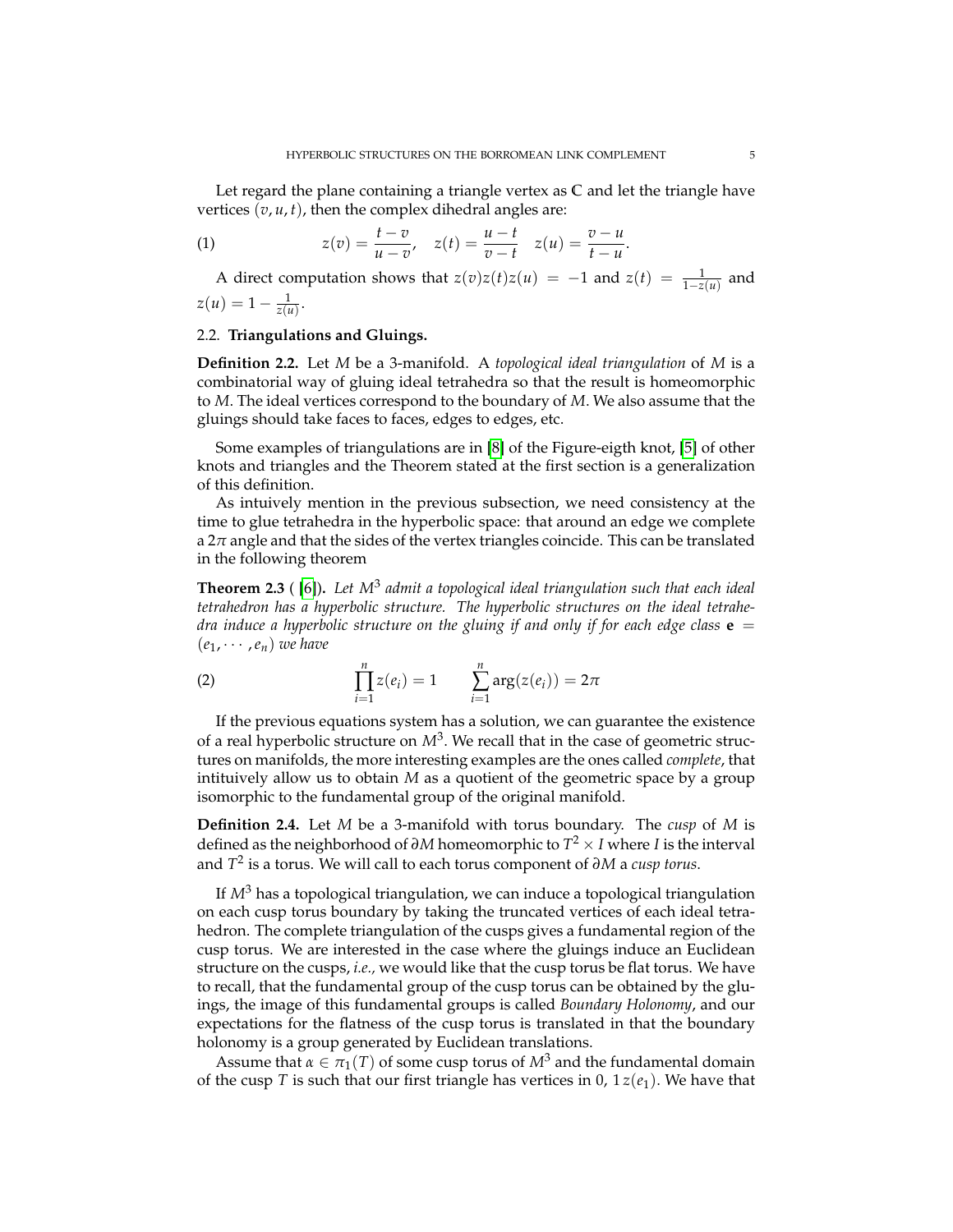Let regard the plane containing a triangle vertex as **C** and let the triangle have vertices  $(v, u, t)$ , then the complex dihedral angles are:

(1) 
$$
z(v) = \frac{t - v}{u - v}, \quad z(t) = \frac{u - t}{v - t} \quad z(u) = \frac{v - u}{t - u}.
$$

A direct computation shows that  $z(v)z(t)z(u) = -1$  and  $z(t) = \frac{1}{1-z(u)}$  and  $z(u) = 1 - \frac{1}{z(u)}.$ 

### 2.2. **Triangulations and Gluings.**

**Definition 2.2.** Let *M* be a 3-manifold. A *topological ideal triangulation* of *M* is a combinatorial way of gluing ideal tetrahedra so that the result is homeomorphic to *M*. The ideal vertices correspond to the boundary of *M*. We also assume that the gluings should take faces to faces, edges to edges, etc.

Some examples of triangulations are in [\[8\]](#page-13-0) of the Figure-eigth knot, [\[5\]](#page-12-0) of other knots and triangles and the Theorem stated at the first section is a generalization of this definition.

As intuively mention in the previous subsection, we need consistency at the time to glue tetrahedra in the hyperbolic space: that around an edge we complete a 2*π* angle and that the sides of the vertex triangles coincide. This can be translated in the following theorem

**Theorem 2.3** ( [\[6\]](#page-13-4))**.** *Let M*<sup>3</sup> *admit a topological ideal triangulation such that each ideal tetrahedron has a hyperbolic structure. The hyperbolic structures on the ideal tetrahedra induce a hyperbolic structure on the gluing if and only if for each edge class*  $\mathbf{e}$  =  $(e_1, \cdots, e_n)$  *we have* 

(2) 
$$
\prod_{i=1}^{n} z(e_i) = 1 \qquad \sum_{i=1}^{n} \arg(z(e_i)) = 2\pi
$$

If the previous equations system has a solution, we can guarantee the existence of a real hyperbolic structure on  $M^3$ . We recall that in the case of geometric structures on manifolds, the more interesting examples are the ones called *complete*, that intituively allow us to obtain *M* as a quotient of the geometric space by a group isomorphic to the fundamental group of the original manifold.

**Definition 2.4.** Let *M* be a 3-manifold with torus boundary. The *cusp* of *M* is defined as the neighborhood of *∂M* homeomorphic to *T* <sup>2</sup> × *I* where *I* is the interval and *T* 2 is a torus. We will call to each torus component of *∂M* a *cusp torus*.

If *M*<sup>3</sup> has a topological triangulation, we can induce a topological triangulation on each cusp torus boundary by taking the truncated vertices of each ideal tetrahedron. The complete triangulation of the cusps gives a fundamental region of the cusp torus. We are interested in the case where the gluings induce an Euclidean structure on the cusps, *i.e.,* we would like that the cusp torus be flat torus. We have to recall, that the fundamental group of the cusp torus can be obtained by the gluings, the image of this fundamental groups is called *Boundary Holonomy*, and our expectations for the flatness of the cusp torus is translated in that the boundary holonomy is a group generated by Euclidean translations.

Assume that  $\alpha \in \pi_1(T)$  of some cusp torus of  $M^3$  and the fundamental domain of the cusp *T* is such that our first triangle has vertices in 0,  $1z(e_1)$ . We have that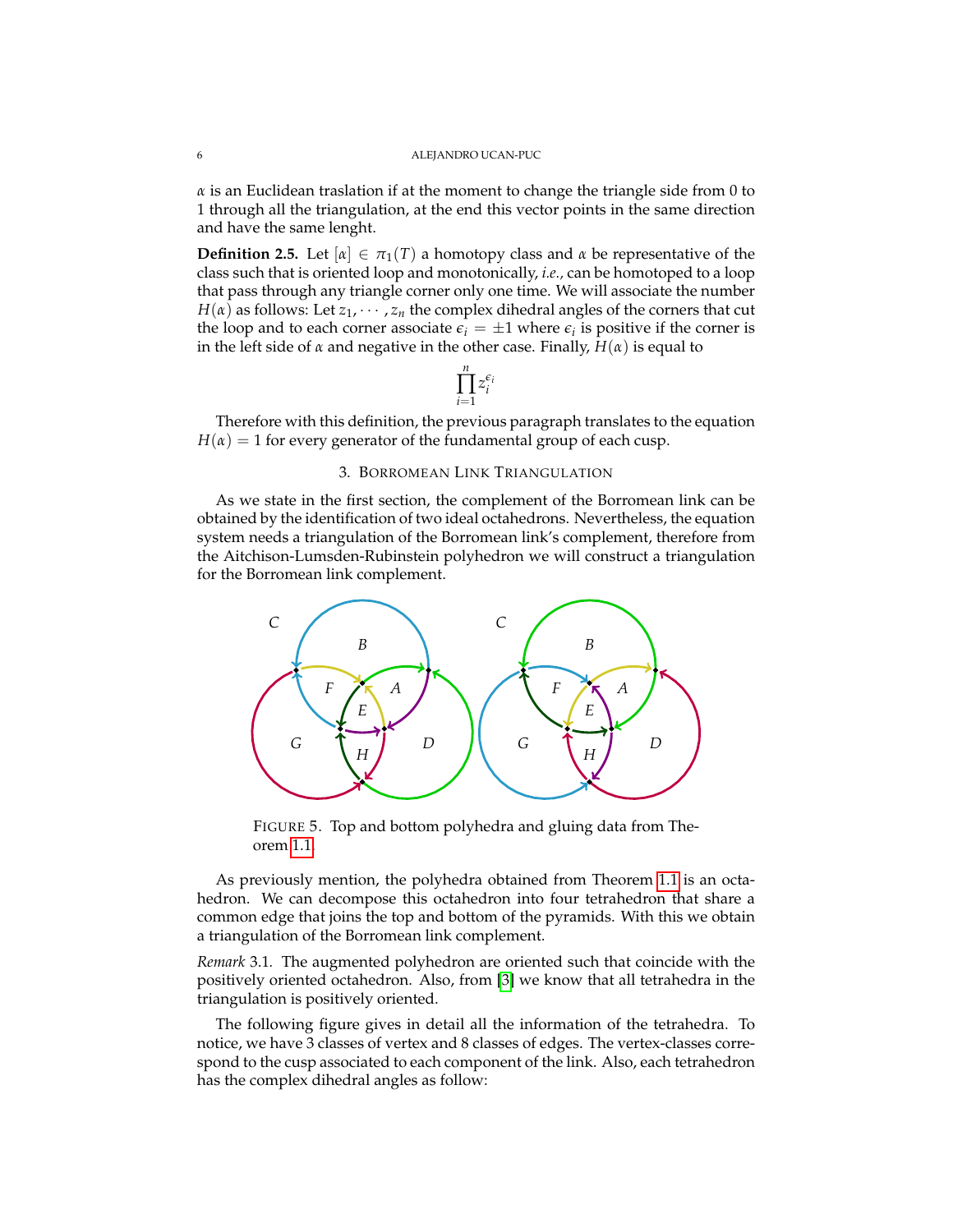$\alpha$  is an Euclidean traslation if at the moment to change the triangle side from 0 to 1 through all the triangulation, at the end this vector points in the same direction and have the same lenght.

**Definition 2.5.** Let  $[\alpha] \in \pi_1(T)$  a homotopy class and  $\alpha$  be representative of the class such that is oriented loop and monotonically, *i.e.,* can be homotoped to a loop that pass through any triangle corner only one time. We will associate the number *H*( $\alpha$ ) as follows: Let  $z_1$ ,  $\cdots$ ,  $z_n$  the complex dihedral angles of the corners that cut the loop and to each corner associate  $\epsilon_i = \pm 1$  where  $\epsilon_i$  is positive if the corner is in the left side of  $\alpha$  and negative in the other case. Finally,  $H(\alpha)$  is equal to

$$
\prod_{i=1}^n z_i^{\epsilon_i}
$$

Therefore with this definition, the previous paragraph translates to the equation  $H(\alpha) = 1$  for every generator of the fundamental group of each cusp.

### 3. BORROMEAN LINK TRIANGULATION

As we state in the first section, the complement of the Borromean link can be obtained by the identification of two ideal octahedrons. Nevertheless, the equation system needs a triangulation of the Borromean link's complement, therefore from the Aitchison-Lumsden-Rubinstein polyhedron we will construct a triangulation for the Borromean link complement.



FIGURE 5. Top and bottom polyhedra and gluing data from Theorem [1.1.](#page-1-0)

As previously mention, the polyhedra obtained from Theorem [1.1](#page-1-0) is an octahedron. We can decompose this octahedron into four tetrahedron that share a common edge that joins the top and bottom of the pyramids. With this we obtain a triangulation of the Borromean link complement.

*Remark* 3.1*.* The augmented polyhedron are oriented such that coincide with the positively oriented octahedron. Also, from [\[3\]](#page-12-2) we know that all tetrahedra in the triangulation is positively oriented.

The following figure gives in detail all the information of the tetrahedra. To notice, we have 3 classes of vertex and 8 classes of edges. The vertex-classes correspond to the cusp associated to each component of the link. Also, each tetrahedron has the complex dihedral angles as follow: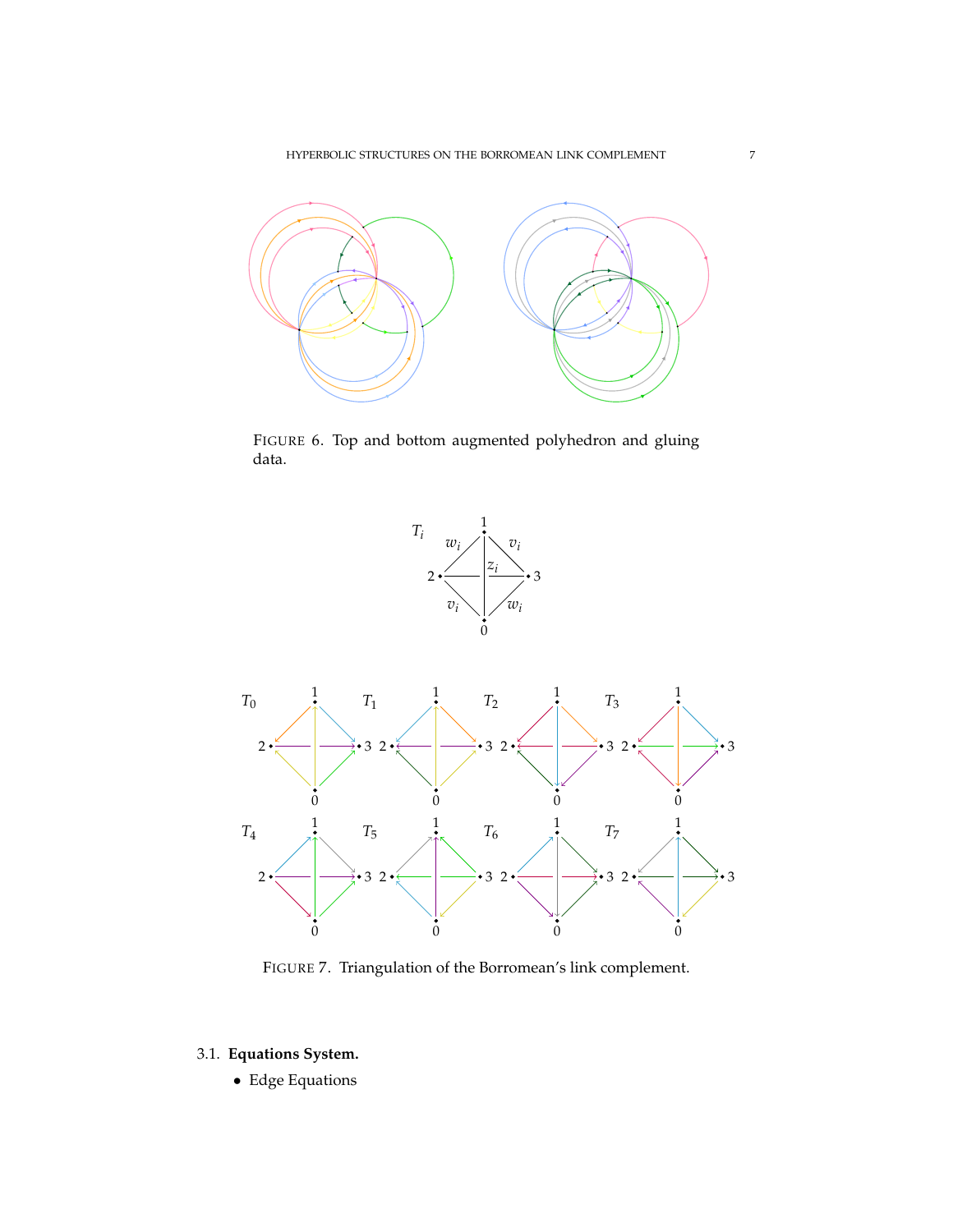

FIGURE 6. Top and bottom augmented polyhedron and gluing data.



FIGURE 7. Triangulation of the Borromean's link complement.

# <span id="page-6-0"></span>3.1. **Equations System.**

• Edge Equations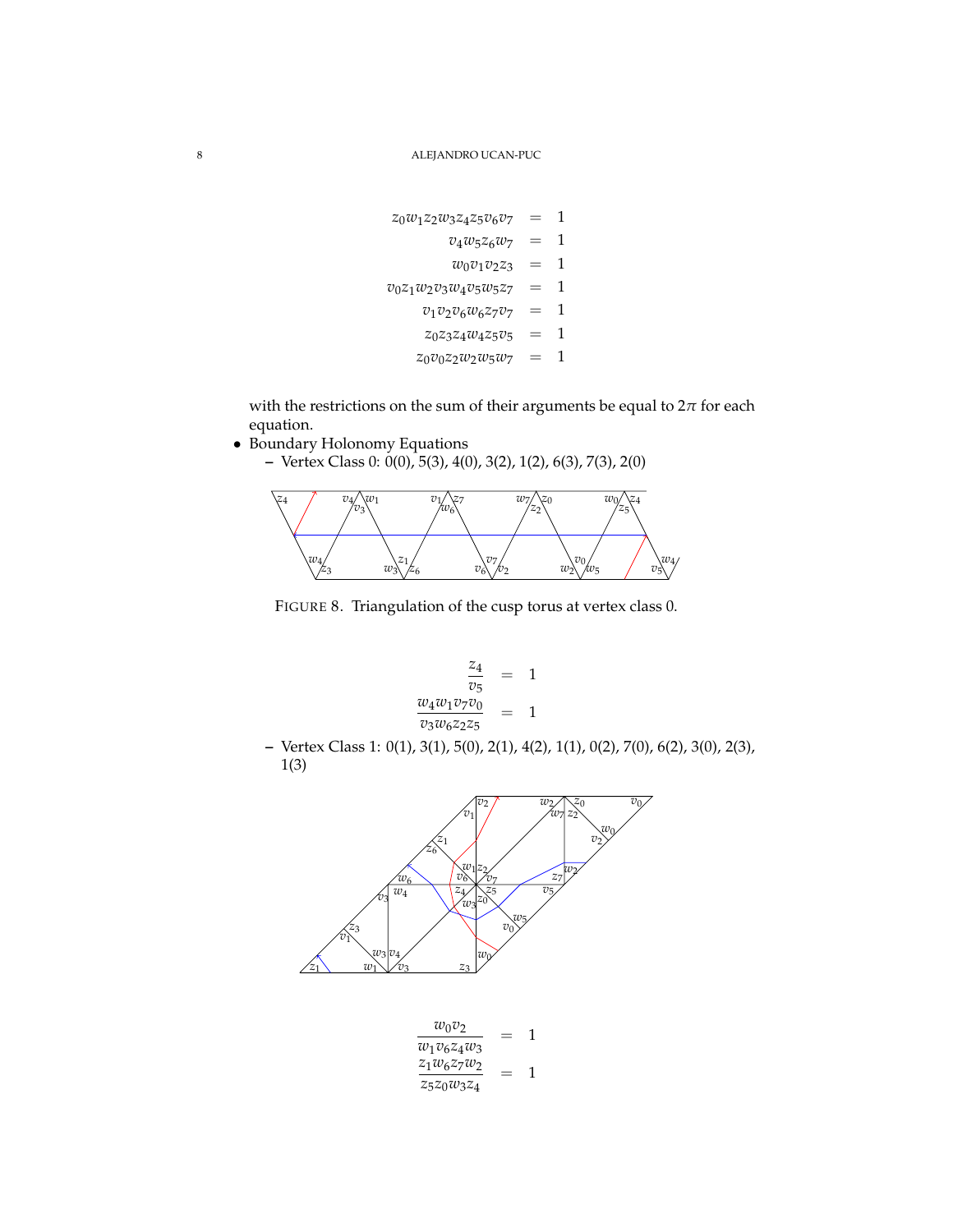$$
z_0w_1z_2w_3z_4z_5v_6v_7 = 1
$$
  
\n
$$
v_4w_5z_6w_7 = 1
$$
  
\n
$$
w_0v_1v_2z_3 = 1
$$
  
\n
$$
v_0z_1w_2v_3w_4v_5w_5z_7 = 1
$$
  
\n
$$
v_1v_2v_6w_6z_7v_7 = 1
$$
  
\n
$$
z_0z_3z_4w_4z_5v_5 = 1
$$
  
\n
$$
z_0v_0z_2w_2w_5w_7 = 1
$$

with the restrictions on the sum of their arguments be equal to  $2\pi$  for each equation.

- Boundary Holonomy Equations
	- **–** Vertex Class 0: 0(0), 5(3), 4(0), 3(2), 1(2), 6(3), 7(3), 2(0)



FIGURE 8. Triangulation of the cusp torus at vertex class 0.

$$
\frac{z_4}{v_5} = 1
$$
  

$$
\frac{w_4 w_1 v_7 v_0}{v_3 w_6 z_2 z_5} = 1
$$

**–** Vertex Class 1: 0(1), 3(1), 5(0), 2(1), 4(2), 1(1), 0(2), 7(0), 6(2), 3(0), 2(3), 1(3)



*w*0*v*<sup>2</sup> *w*1*v*6*z*4*w*<sup>3</sup> = 1 *z*1*w*6*z*7*w*<sup>2</sup> *z*5*z*0*w*3*z*<sup>4</sup> = 1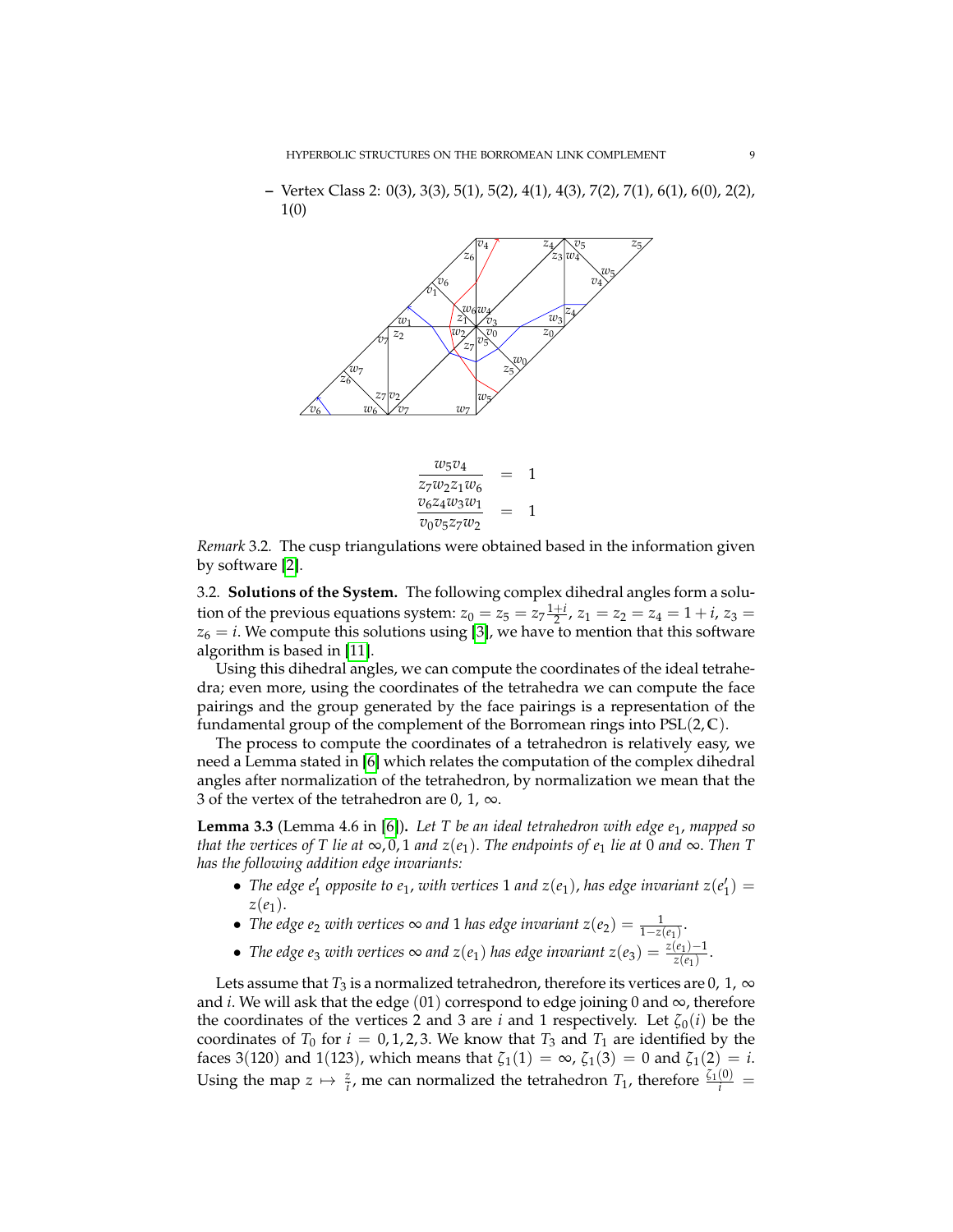**–** Vertex Class 2: 0(3), 3(3), 5(1), 5(2), 4(1), 4(3), 7(2), 7(1), 6(1), 6(0), 2(2), 1(0)



*Remark* 3.2*.* The cusp triangulations were obtained based in the information given by software [\[2\]](#page-12-3).

3.2. **Solutions of the System.** The following complex dihedral angles form a solution of the previous equations system:  $z_0 = z_5 = z_7 \frac{1+i}{2}$ ,  $z_1 = z_2 = z_4 = 1 + i$ ,  $z_3 =$  $z_6 = i$ . We compute this solutions using [\[3\]](#page-12-2), we have to mention that this software algorithm is based in [\[11\]](#page-13-2).

Using this dihedral angles, we can compute the coordinates of the ideal tetrahedra; even more, using the coordinates of the tetrahedra we can compute the face pairings and the group generated by the face pairings is a representation of the fundamental group of the complement of the Borromean rings into PSL(2, **C**).

The process to compute the coordinates of a tetrahedron is relatively easy, we need a Lemma stated in [\[6\]](#page-13-4) which relates the computation of the complex dihedral angles after normalization of the tetrahedron, by normalization we mean that the 3 of the vertex of the tetrahedron are 0, 1,  $\infty$ .

**Lemma 3.3** (Lemma 4.6 in [\[6\]](#page-13-4))**.** *Let T be an ideal tetrahedron with edge e*1, *mapped so that the vertices of* T *lie at*  $\infty$ , 0, 1 *and*  $z(e_1)$ . *The endpoints of*  $e_1$  *lie at* 0 *and*  $\infty$ . *Then* T *has the following addition edge invariants:*

- The edge  $e'_1$  opposite to  $e_1$ , with vertices 1 and  $z(e_1)$ , has edge invariant  $z(e'_1)$  = *z*(*e*1).
- *The edge e*<sub>2</sub> *with vertices*  $\infty$  *and* 1 *has edge invariant*  $z(e_2) = \frac{1}{1 z(e_1)}$ .
- *The edge e<sub>3</sub> with vertices*  $\infty$  *and*  $z(e_1)$  *has edge invariant*  $z(e_3) = \frac{z(e_1) 1}{z(e_1)}$  $\frac{(e_1)^{-1}}{z(e_1)}$ .

Lets assume that  $T_3$  is a normalized tetrahedron, therefore its vertices are 0, 1,  $\infty$ and *i*. We will ask that the edge  $(01)$  correspond to edge joining 0 and  $\infty$ , therefore the coordinates of the vertices 2 and 3 are *i* and 1 respectively. Let  $\zeta_0(i)$  be the coordinates of  $T_0$  for  $i = 0, 1, 2, 3$ . We know that  $T_3$  and  $T_1$  are identified by the faces 3(120) and 1(123), which means that  $\zeta_1(1) = \infty$ ,  $\zeta_1(3) = 0$  and  $\zeta_1(2) = i$ . Using the map  $z \mapsto \frac{z}{i}$ , me can normalized the tetrahedron  $T_1$ , therefore  $\frac{\zeta_1(0)}{i}$  =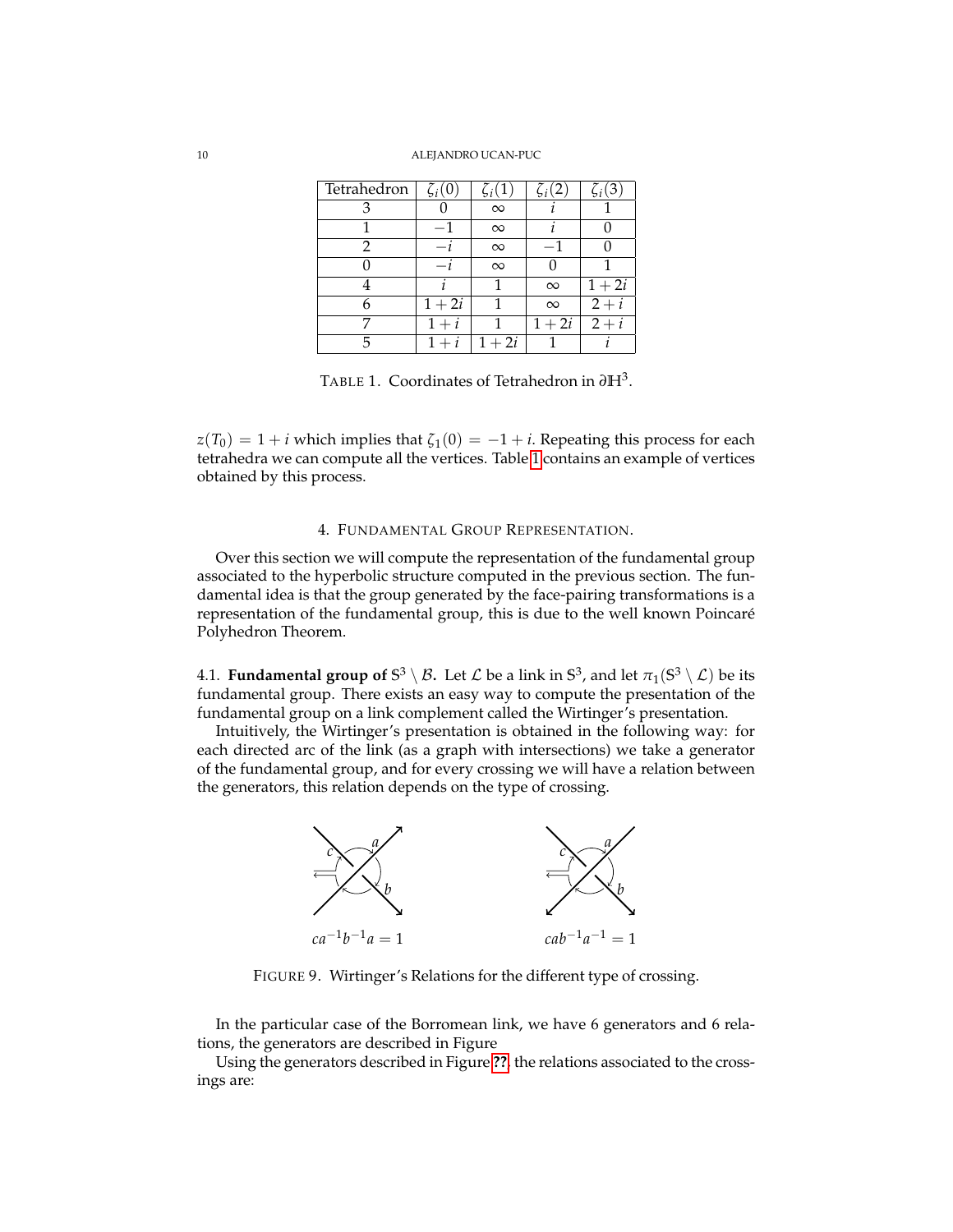#### <span id="page-9-0"></span>10 ALEJANDRO UCAN-PUC

| Tetrahedron | $\zeta_i(0)$ | $\zeta_i(1)$      | $\zeta_i(2)$ | $\zeta_i(3)$ |
|-------------|--------------|-------------------|--------------|--------------|
|             |              | $\infty$          |              |              |
|             |              | $\infty$          |              |              |
|             |              | $\infty$          |              |              |
|             |              | $\infty$          |              |              |
|             |              |                   | $\infty$     | $1+2i$       |
|             | $1 + 2i$     |                   | $\infty$     | $2+i$        |
|             | $1+i$        |                   | $1+2i$       | $2+i$        |
|             |              | $\overline{1+2i}$ |              |              |

TABLE 1. Coordinates of Tetrahedron in *∂***H**<sup>3</sup> .

 $z(T_0) = 1 + i$  which implies that  $\zeta_1(0) = -1 + i$ . Repeating this process for each tetrahedra we can compute all the vertices. Table [1](#page-9-0) contains an example of vertices obtained by this process.

#### 4. FUNDAMENTAL GROUP REPRESENTATION.

Over this section we will compute the representation of the fundamental group associated to the hyperbolic structure computed in the previous section. The fundamental idea is that the group generated by the face-pairing transformations is a representation of the fundamental group, this is due to the well known Poincaré Polyhedron Theorem.

**4.1. Fundamental group of S<sup>3</sup> \**  $\beta$ **.** Let  $\mathcal L$  be a link in  $\mathbb S^3$ , and let  $\pi_1(\mathbb S^3\setminus \mathcal L)$  be its fundamental group. There exists an easy way to compute the presentation of the fundamental group on a link complement called the Wirtinger's presentation.

Intuitively, the Wirtinger's presentation is obtained in the following way: for each directed arc of the link (as a graph with intersections) we take a generator of the fundamental group, and for every crossing we will have a relation between the generators, this relation depends on the type of crossing.



FIGURE 9. Wirtinger's Relations for the different type of crossing.

In the particular case of the Borromean link, we have 6 generators and 6 relations, the generators are described in Figure

Using the generators described in Figure **[??](#page-10-0)**, the relations associated to the crossings are: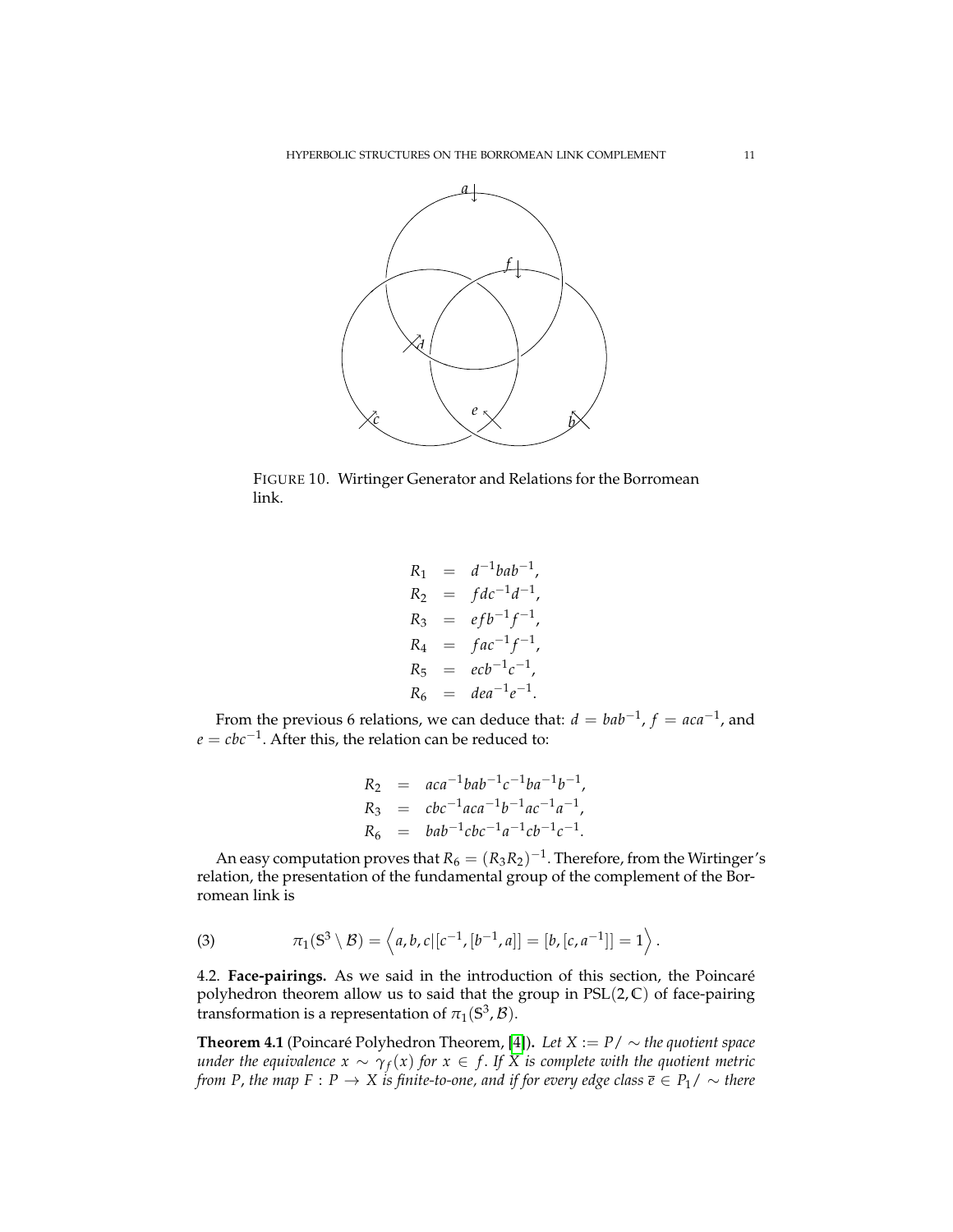<span id="page-10-0"></span>

FIGURE 10. Wirtinger Generator and Relations for the Borromean link.

$$
R_1 = d^{-1}bab^{-1},
$$
  
\n
$$
R_2 = fdc^{-1}d^{-1},
$$
  
\n
$$
R_3 = efb^{-1}f^{-1},
$$
  
\n
$$
R_4 = fac^{-1}f^{-1},
$$
  
\n
$$
R_5 = ecb^{-1}c^{-1},
$$
  
\n
$$
R_6 = dea^{-1}e^{-1}.
$$

From the previous 6 relations, we can deduce that:  $d = bab^{-1}$ ,  $f = aca^{-1}$ , and *e* = *cbc*−<sup>1</sup> . After this, the relation can be reduced to:

$$
R_2 = aca^{-1}bab^{-1}c^{-1}ba^{-1}b^{-1},
$$
  
\n
$$
R_3 = cbc^{-1}aca^{-1}b^{-1}ac^{-1}a^{-1},
$$
  
\n
$$
R_6 = bab^{-1}cbc^{-1}a^{-1}cb^{-1}c^{-1}.
$$

An easy computation proves that  $R_6 = (R_3R_2)^{-1}$ . Therefore, from the Wirtinger's relation, the presentation of the fundamental group of the complement of the Borromean link is

(3) 
$$
\pi_1(S^3 \setminus B) = \langle a, b, c | [c^{-1}, [b^{-1}, a]] = [b, [c, a^{-1}]] = 1 \rangle.
$$

4.2. **Face-pairings.** As we said in the introduction of this section, the Poincare´ polyhedron theorem allow us to said that the group in PSL(2, **C**) of face-pairing transformation is a representation of  $\pi_1(\mathbb{S}^3,\mathcal{B})$ .

**Theorem 4.1** (Poincaré Polyhedron Theorem, [\[4\]](#page-12-4)). Let  $X := P / \sim$  the quotient space *under the equivalence*  $x \sim \gamma_f(x)$  *for*  $x \in f$ *. If X is complete with the quotient metric from P, the map F* : *P*  $\rightarrow$  *X is finite-to-one, and if for every edge class*  $\overline{e} \in P_1 / \sim$  *there*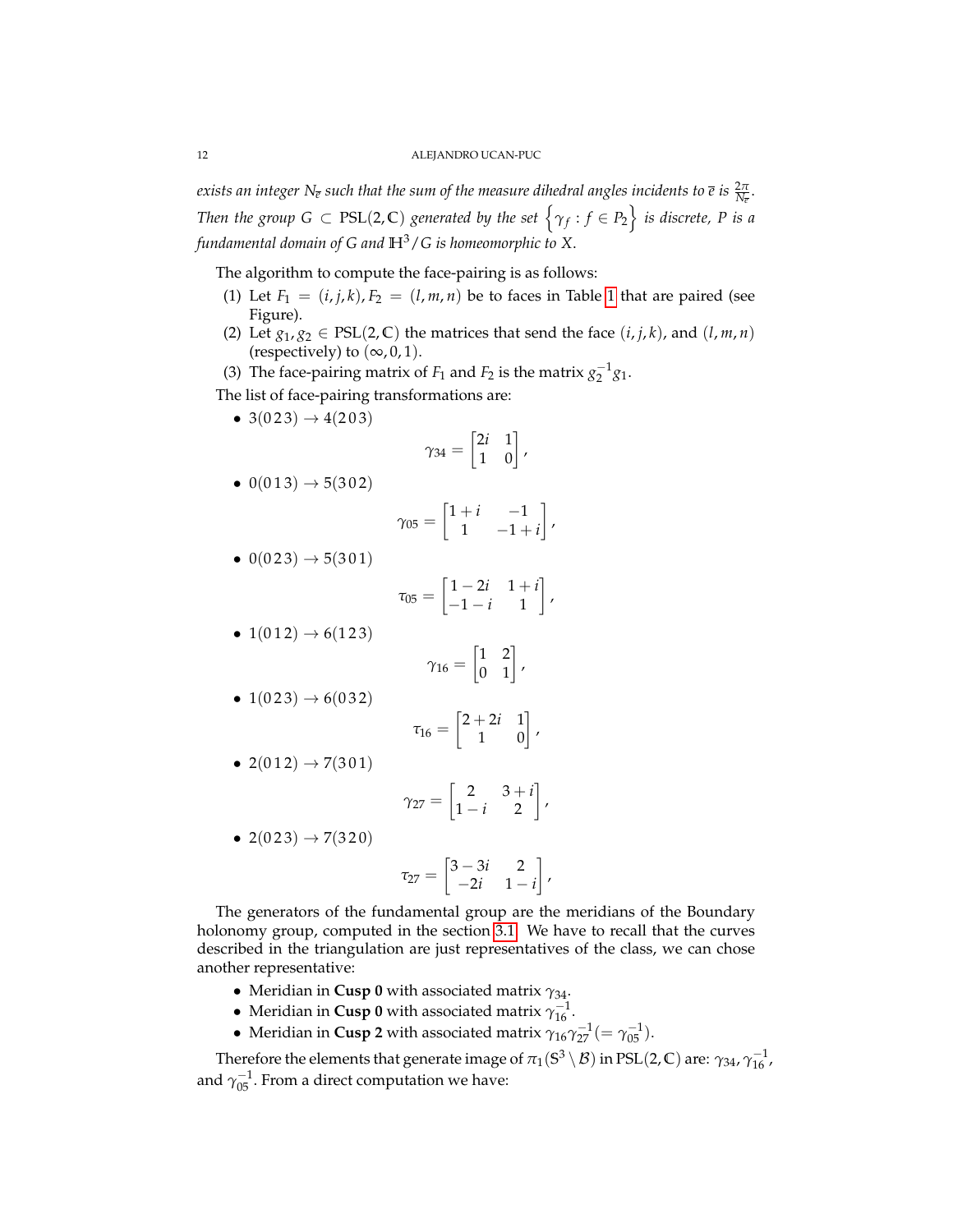*exists an integer*  $N_{\overline{e}}$  *such that the sum of the measure dihedral angles incidents to*  $\overline{e}$  *is*  $\frac{2\pi}{N_{\overline{e}}}.$ *Then the group G*  $\subset$  PSL(2, C) *generated by the set*  $\left\{\gamma_f : f \in P_2\right\}$  *is discrete, P is a fundamental domain of G and* **H**3/*G is homeomorphic to X*.

The algorithm to compute the face-pairing is as follows:

- (1) Let  $F_1 = (i, j, k), F_2 = (l, m, n)$  be to faces in Table [1](#page-9-0) that are paired (see Figure).
- (2) Let  $g_1, g_2 \in \text{PSL}(2, \mathbb{C})$  the matrices that send the face  $(i, j, k)$ , and  $(l, m, n)$ (respectively) to  $(\infty, 0, 1)$ .
- (3) The face-pairing matrix of *F*<sub>1</sub> and *F*<sub>2</sub> is the matrix  $g_2^{-1}g_1$ .

The list of face-pairing transformations are:

• 3(023)  $\rightarrow$  4(203)

$$
\gamma_{34} = \begin{bmatrix} 2i & 1 \\ 1 & 0 \end{bmatrix},
$$

•  $0(013) \rightarrow 5(302)$ 

$$
\gamma_{05} = \begin{bmatrix} 1+i & -1 \\ 1 & -1+i \end{bmatrix},
$$

$$
\bullet \ 0(023) \rightarrow 5(301)
$$

$$
\tau_{05} = \begin{bmatrix} 1-2i & 1+i \\ -1-i & 1 \end{bmatrix},
$$

•  $1(012) \rightarrow 6(123)$ 

$$
\gamma_{16} = \begin{bmatrix} 1 & 2 \\ 0 & 1 \end{bmatrix},
$$

$$
\bullet\ 1(023)\rightarrow 6(032)
$$

$$
\tau_{16} = \begin{bmatrix} 2+2i & 1 \\ 1 & 0 \end{bmatrix},
$$

$$
\bullet \ 2(012) \rightarrow 7(301)
$$

$$
\gamma_{27} = \begin{bmatrix} 2 & 3+i \\ 1-i & 2 \end{bmatrix},
$$

$$
\bullet \ 2(023) \rightarrow 7(320)
$$

$$
\tau_{27} = \begin{bmatrix} 3-3i & 2 \\ -2i & 1-i \end{bmatrix},
$$

The generators of the fundamental group are the meridians of the Boundary holonomy group, computed in the section [3.1.](#page-6-0) We have to recall that the curves described in the triangulation are just representatives of the class, we can chose another representative:

- Meridian in **Cusp 0** with associated matrix  $γ_{34}$ .
- Meridian in **Cusp 0** with associated matrix  $\gamma_{16}^{-1}$ .
- Meridian in **Cusp 2** with associated matrix  $\gamma_{16}\gamma_{27}^{-1}(=\gamma_{05}^{-1}).$

Therefore the elements that generate image of  $\pi_1(\mathbb{S}^3 \setminus \mathcal{B})$  in PSL(2, C) are:  $\gamma_{34}$ ,  $\gamma_{16}^{-1}$ , and  $\gamma_{05}^{-1}$ . From a direct computation we have: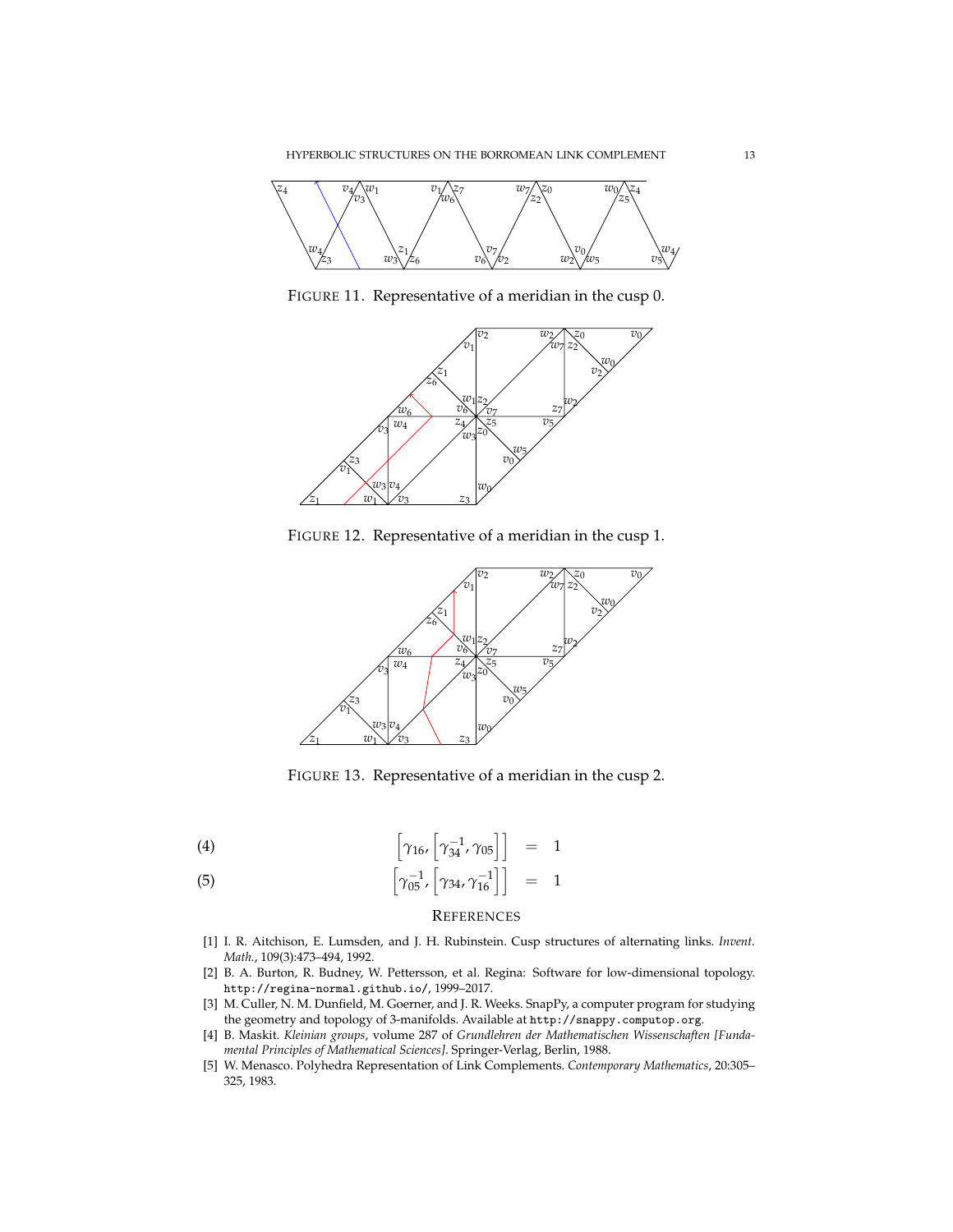

FIGURE 11. Representative of a meridian in the cusp 0.



FIGURE 12. Representative of a meridian in the cusp 1.



FIGURE 13. Representative of a meridian in the cusp 2.

(4) 
$$
\left[\gamma_{16}, \left[\gamma_{34}^{-1}, \gamma_{05}\right]\right] = 1
$$

$$
\left[\gamma_{16}, \left[\gamma_{34}^{-1}, \gamma_{05}\right]\right] = 1
$$

$$
\left[\gamma_{05}^{-1}, \left[\gamma_{34}, \gamma_{16}^{-1}\right]\right] = 1
$$

## **REFERENCES**

- <span id="page-12-1"></span>[1] I. R. Aitchison, E. Lumsden, and J. H. Rubinstein. Cusp structures of alternating links. *Invent. Math.*, 109(3):473–494, 1992.
- <span id="page-12-3"></span>[2] B. A. Burton, R. Budney, W. Pettersson, et al. Regina: Software for low-dimensional topology. http://regina-normal.github.io/, 1999–2017.
- <span id="page-12-2"></span>[3] M. Culler, N. M. Dunfield, M. Goerner, and J. R. Weeks. SnapPy, a computer program for studying the geometry and topology of 3-manifolds. Available at http://snappy.computop.org.
- <span id="page-12-4"></span>[4] B. Maskit. *Kleinian groups*, volume 287 of *Grundlehren der Mathematischen Wissenschaften [Fundamental Principles of Mathematical Sciences]*. Springer-Verlag, Berlin, 1988.
- <span id="page-12-0"></span>[5] W. Menasco. Polyhedra Representation of Link Complements. *Contemporary Mathematics*, 20:305– 325, 1983.